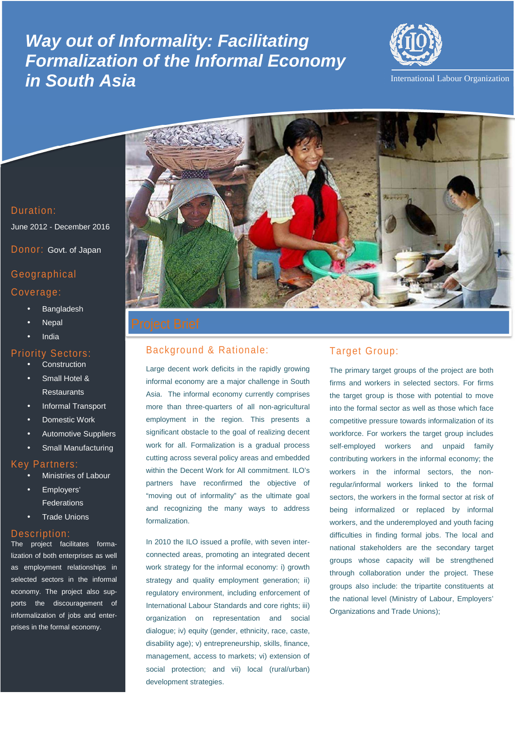# \_- **Formalization of the Informal Economy Way out of Informality: Facilitating in South Asia**



International Labour Organization



June 2012 - December 2016

Donor: Govt. of Japan

# Geographical Coverage:

- **Bangladesh**
- **Nepal**
- India

#### Priority Sectors:

- **Construction**
- Small Hotel & **Restaurants**
- Informal Transport
- Domestic Work
- Automotive Suppliers
- Small Manufacturing

## Key Partners:

- Ministries of Labour
- Employers' Federations
- **Trade Unions**

#### Description:

The project facilitates formalization of both enterprises as well as employment relationships in selected sectors in the informal economy. The project also supports the discouragement of informalization of jobs and enterprises in the formal economy.



# Background & Rationale:

Large decent work deficits in the rapidly growing informal economy are a major challenge in South Asia. The informal economy currently comprises more than three-quarters of all non-agricultural employment in the region. This presents a significant obstacle to the goal of realizing decent work for all. Formalization is a gradual process cutting across several policy areas and embedded within the Decent Work for All commitment. ILO's partners have reconfirmed the objective of "moving out of informality" as the ultimate goal and recognizing the many ways to address formalization.

In 2010 the ILO issued a profile, with seven interconnected areas, promoting an integrated decent work strategy for the informal economy: i) growth strategy and quality employment generation; ii) regulatory environment, including enforcement of International Labour Standards and core rights; iii) organization on representation and social dialogue; iv) equity (gender, ethnicity, race, caste, disability age); v) entrepreneurship, skills, finance, management, access to markets; vi) extension of social protection; and vii) local (rural/urban) development strategies.

# Target Group:

The primary target groups of the project are both firms and workers in selected sectors. For firms the target group is those with potential to move into the formal sector as well as those which face competitive pressure towards informalization of its workforce. For workers the target group includes self-employed workers and unpaid family contributing workers in the informal economy; the workers in the informal sectors, the nonregular/informal workers linked to the formal sectors, the workers in the formal sector at risk of being informalized or replaced by informal workers, and the underemployed and youth facing difficulties in finding formal jobs. The local and national stakeholders are the secondary target groups whose capacity will be strengthened through collaboration under the project. These groups also include: the tripartite constituents at the national level (Ministry of Labour, Employers' Organizations and Trade Unions);